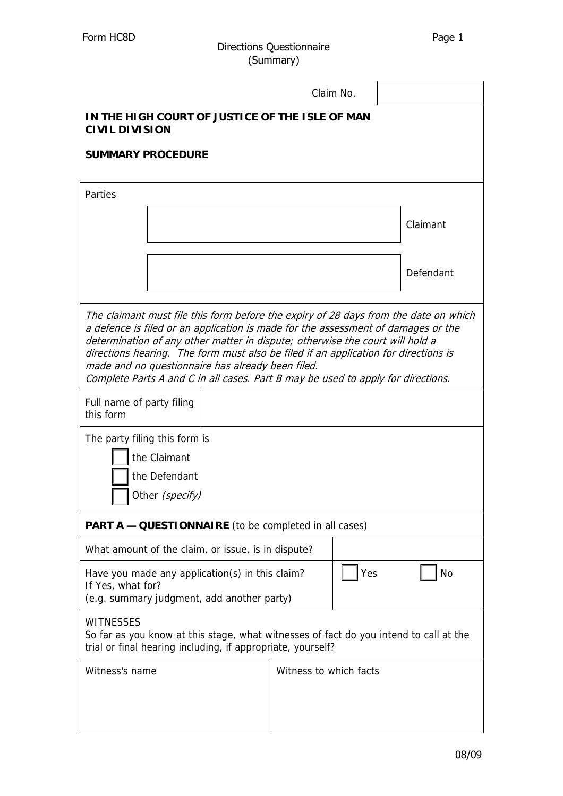## Form HC8D Directions Questionnaire Page 1 (Summary)

|                                                                                                                                                                                                                                                                                                                                                                                                                                                                                            | Claim No.              |  |           |  |  |
|--------------------------------------------------------------------------------------------------------------------------------------------------------------------------------------------------------------------------------------------------------------------------------------------------------------------------------------------------------------------------------------------------------------------------------------------------------------------------------------------|------------------------|--|-----------|--|--|
| IN THE HIGH COURT OF JUSTICE OF THE ISLE OF MAN<br><b>CIVIL DIVISION</b>                                                                                                                                                                                                                                                                                                                                                                                                                   |                        |  |           |  |  |
| <b>SUMMARY PROCEDURE</b>                                                                                                                                                                                                                                                                                                                                                                                                                                                                   |                        |  |           |  |  |
| Parties                                                                                                                                                                                                                                                                                                                                                                                                                                                                                    |                        |  |           |  |  |
|                                                                                                                                                                                                                                                                                                                                                                                                                                                                                            |                        |  | Claimant  |  |  |
|                                                                                                                                                                                                                                                                                                                                                                                                                                                                                            |                        |  | Defendant |  |  |
| The claimant must file this form before the expiry of 28 days from the date on which<br>a defence is filed or an application is made for the assessment of damages or the<br>determination of any other matter in dispute; otherwise the court will hold a<br>directions hearing. The form must also be filed if an application for directions is<br>made and no questionnaire has already been filed.<br>Complete Parts A and C in all cases. Part B may be used to apply for directions. |                        |  |           |  |  |
| Full name of party filing<br>this form                                                                                                                                                                                                                                                                                                                                                                                                                                                     |                        |  |           |  |  |
| The party filing this form is<br>the Claimant<br>the Defendant<br>Other (specify)                                                                                                                                                                                                                                                                                                                                                                                                          |                        |  |           |  |  |
| <b>PART A - QUESTIONNAIRE</b> (to be completed in all cases)                                                                                                                                                                                                                                                                                                                                                                                                                               |                        |  |           |  |  |
| What amount of the claim, or issue, is in dispute?                                                                                                                                                                                                                                                                                                                                                                                                                                         |                        |  |           |  |  |
| <b>No</b><br>Yes<br>Have you made any application(s) in this claim?<br>If Yes, what for?<br>(e.g. summary judgment, add another party)                                                                                                                                                                                                                                                                                                                                                     |                        |  |           |  |  |
| <b>WITNESSES</b><br>So far as you know at this stage, what witnesses of fact do you intend to call at the<br>trial or final hearing including, if appropriate, yourself?                                                                                                                                                                                                                                                                                                                   |                        |  |           |  |  |
| Witness's name                                                                                                                                                                                                                                                                                                                                                                                                                                                                             | Witness to which facts |  |           |  |  |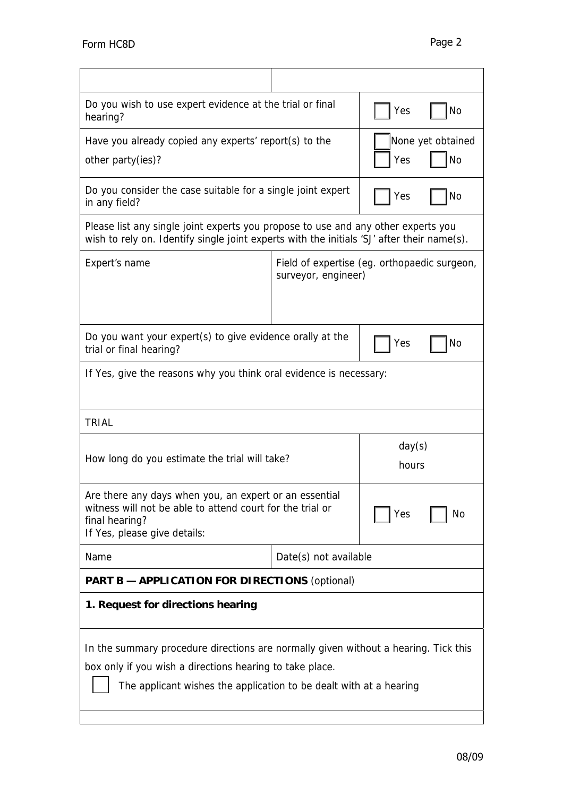| Form HC8D                                                                                                                                                                                                             |                                                                     |                 | Page 2                         |
|-----------------------------------------------------------------------------------------------------------------------------------------------------------------------------------------------------------------------|---------------------------------------------------------------------|-----------------|--------------------------------|
|                                                                                                                                                                                                                       |                                                                     |                 |                                |
| Do you wish to use expert evidence at the trial or final<br>hearing?                                                                                                                                                  |                                                                     | Yes             | No                             |
| Have you already copied any experts' report(s) to the<br>other party(ies)?                                                                                                                                            |                                                                     | Yes             | None yet obtained<br><b>No</b> |
| Do you consider the case suitable for a single joint expert<br>in any field?                                                                                                                                          |                                                                     | Yes             | No                             |
| Please list any single joint experts you propose to use and any other experts you<br>wish to rely on. Identify single joint experts with the initials 'SJ' after their name(s).                                       |                                                                     |                 |                                |
| Expert's name                                                                                                                                                                                                         | Field of expertise (eg. orthopaedic surgeon,<br>surveyor, engineer) |                 |                                |
| Do you want your expert(s) to give evidence orally at the<br>trial or final hearing?                                                                                                                                  |                                                                     | Yes             | No                             |
| If Yes, give the reasons why you think oral evidence is necessary:                                                                                                                                                    |                                                                     |                 |                                |
| <b>TRIAL</b>                                                                                                                                                                                                          |                                                                     |                 |                                |
| How long do you estimate the trial will take?                                                                                                                                                                         |                                                                     | day(s)<br>hours |                                |
| Are there any days when you, an expert or an essential<br>witness will not be able to attend court for the trial or<br>final hearing?<br>If Yes, please give details:                                                 |                                                                     | Yes             | No                             |
| Name                                                                                                                                                                                                                  | Date(s) not available                                               |                 |                                |
| <b>PART B - APPLICATION FOR DIRECTIONS (optional)</b>                                                                                                                                                                 |                                                                     |                 |                                |
| 1. Request for directions hearing                                                                                                                                                                                     |                                                                     |                 |                                |
| In the summary procedure directions are normally given without a hearing. Tick this<br>box only if you wish a directions hearing to take place.<br>The applicant wishes the application to be dealt with at a hearing |                                                                     |                 |                                |
|                                                                                                                                                                                                                       |                                                                     |                 | 08/09                          |